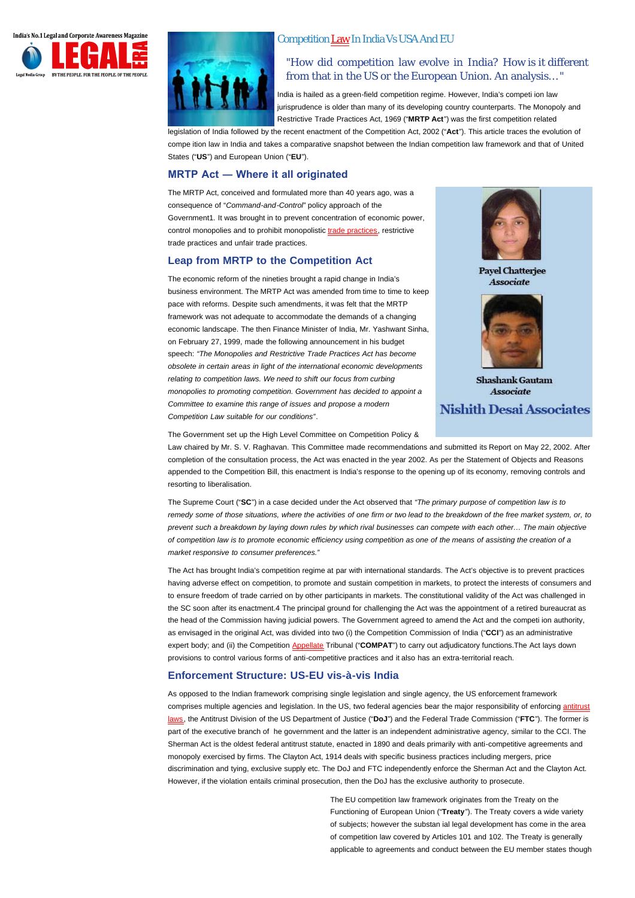<span id="page-0-0"></span>



# CompetitionLaw In India Vs USA And EU

"How did competition law evolve in India? How is it different from that in the US or the European Union. An analysis… "

India is hailed as a green-field competition regime. However, India's competi ion law jurisprudence is older than many of its developing country counterparts. The Monopoly and Restrictive Trade Practices Act, 1969 ("**MRTP Act**") was the first competition related

legislation of India followed by the recent enactment of the Competition Act, 2002 ("**Act**"). This article traces the evolution of compe ition law in India and takes a comparative snapshot between the Indian competition law framework and that of United States ("**US**") and European Union ("**EU**").

# **MRTP Act ― Where it all originated**

The MRTP Act, conceived and formulated more than 40 years ago, was a consequence of "*Command-and-Control*" policy approach of the Government1. It was brought in to prevent concentration of economic power, control monopolies and to prohibit monopolistic trade practices, restrictive trade practices and unfair trade practices.

### **Leap from MRTP to the Competition Act**

The economic reform of the nineties brought a rapid change in India's business environment. The MRTP Act was amended from time to time to keep pace with reforms. Despite such amendments, it was felt that the MRTP framework was not adequate to accommodate the demands of a changing economic landscape. The then Finance Minister of India, Mr. Yashwant Sinha, on February 27, 1999, made the following announcement in his budget speech: *"The Monopolies and Restrictive Trade Practices Act has become obsolete in certain areas in light of the international economic developments relating to competition laws. We need to shift our focus from curbing monopolies to promoting competition. Government has decided to appoint a Committee to examine this range of issues and propose a modern Competition Law suitable for our conditions"*.



**Pavel Chatteriee** Associate



Shashank Gautam Associate

**Nishith Desai Associates** 

The Government set up the High Level Committee on Competition Policy &

Law chaired by Mr. S. V. Raghavan. This Committee made recommendations and submitted its Report on May 22, 2002. After completion of the consultation process, the Act was enacted in the year 2002. As per the Statement of Objects and Reasons appended to the Competition Bill, this enactment is India's response to the opening up of its economy, removing controls and resorting to liberalisation.

The Supreme Court ("**SC**") in a case decided under the Act observed that *"The primary purpose of competition law is to remedy some of those situations, where the activities of one firm or two lead to the breakdown of the free market system, or, to prevent such a breakdown by laying down rules by which rival businesses can compete with each other… The main objective of competition law is to promote economic efficiency using competition as one of the means of assisting the creation of a market responsive to consumer preferences."*

The Act has brought India's competition regime at par with international standards. The Act's objective is to prevent practices having adverse effect on competition, to promote and sustain competition in markets, to protect the interests of consumers and to ensure freedom of trade carried on by other participants in markets. The constitutional validity of the Act was challenged in the SC soon after its enactment.4 The principal ground for challenging the Act was the appointment of a retired bureaucrat as the head of the Commission having judicial powers. The Government agreed to amend the Act and the competi ion authority, as envisaged in the original Act, was divided into two (i) the Competition Commission of India ("**CCI**") as an administrative expertbody; and (ii) the Competition <u>Appellate</u> Tribunal ("COMPAT") to carry out adjudicatory functions.The Act lays down provisions to control various forms of anti-competitive practices and it also has an extra-territorial reach.

### **Enforcement Structure: US-EU vis-à-vis India**

As opposed to the Indian framework comprising single legislation and single agency, the US enforcement framework comprises multiple agencies and legislation. In the US, two federal agencies bear the major responsibility of enforcing [antitrust](#page-0-0) , the Antitrust Division of the US Department of Justice ("**DoJ**") and the Federal Trade Commission ("**FTC**"). The former is [laws](#page-0-0)part of the executive branch of he government and the latter is an independent administrative agency, similar to the CCI. The Sherman Act is the oldest federal antitrust statute, enacted in 1890 and deals primarily with anti-competitive agreements and monopoly exercised by firms. The Clayton Act, 1914 deals with specific business practices including mergers, price discrimination and tying, exclusive supply etc. The DoJ and FTC independently enforce the Sherman Act and the Clayton Act. However, if the violation entails criminal prosecution, then the DoJ has the exclusive authority to prosecute.

> The EU competition law framework originates from the Treaty on the Functioning of European Union ("**Treaty**"). The Treaty covers a wide variety of subjects; however the substan ial legal development has come in the area of competition law covered by Articles 101 and 102. The Treaty is generally applicable to agreements and conduct between the EU member states though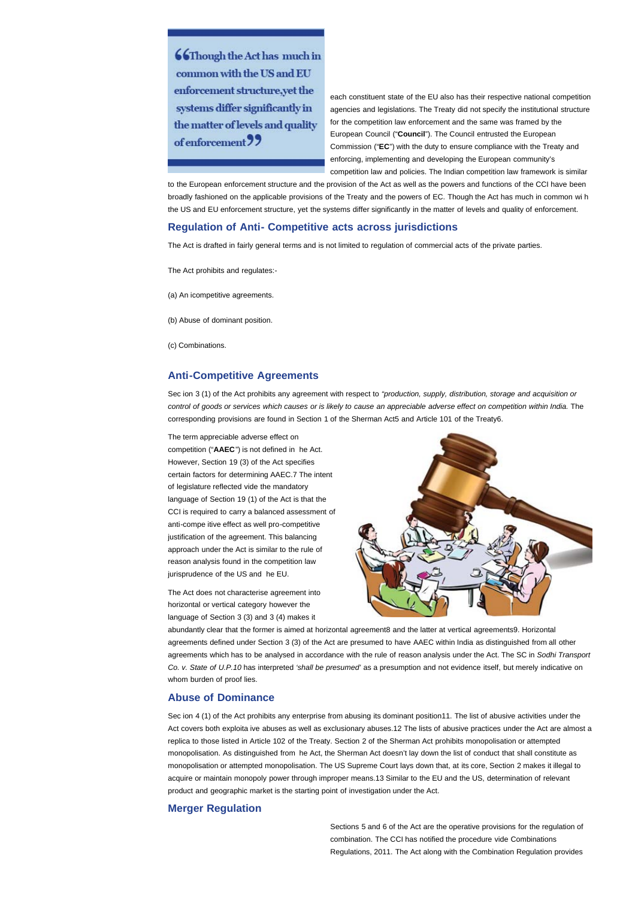**66Though the Act has much in** common with the US and EU enforcement structure.vet the systems differ significantly in the matter of levels and quality of enforcement 99

each constituent state of the EU also has their respective national competition agencies and legislations. The Treaty did not specify the institutional structure for the competition law enforcement and the same was framed by the European Council ("**Council**"). The Council entrusted the European Commission ("**EC**") with the duty to ensure compliance with the Treaty and enforcing, implementing and developing the European community's competition law and policies. The Indian competition law framework is similar

to the European enforcement structure and the provision of the Act as well as the powers and functions of the CCI have been broadly fashioned on the applicable provisions of the Treaty and the powers of EC. Though the Act has much in common wi h the US and EU enforcement structure, yet the systems differ significantly in the matter of levels and quality of enforcement.

### **Regulation of Anti- Competitive acts across jurisdictions**

The Act is drafted in fairly general terms and is not limited to regulation of commercial acts of the private parties.

The Act prohibits and regulates:-

(a) An icompetitive agreements.

(b) Abuse of dominant position.

(c) Combinations.

### **Anti-Competitive Agreements**

Sec ion 3 (1) of the Act prohibits any agreement with respect to *"production, supply, distribution, storage and acquisition or control of goods or services which causes or is likely to cause an appreciable adverse effect on competition within India.* The corresponding provisions are found in Section 1 of the Sherman Act5 and Article 101 of the Treaty6.

The term appreciable adverse effect on competition ("**AAEC**") is not defined in he Act. However, Section 19 (3) of the Act specifies certain factors for determining AAEC.7 The intent of legislature reflected vide the mandatory language of Section 19 (1) of the Act is that the CCI is required to carry a balanced assessment of anti-compe itive effect as well pro-competitive justification of the agreement. This balancing approach under the Act is similar to the rule of reason analysis found in the competition law jurisprudence of the US and he EU.

The Act does not characterise agreement into horizontal or vertical category however the language of Section 3 (3) and 3 (4) makes it



abundantly clear that the former is aimed at horizontal agreement8 and the latter at vertical agreements9. Horizontal agreements defined under Section 3 (3) of the Act are presumed to have AAEC within India as distinguished from all other agreements which has to be analysed in accordance with the rule of reason analysis under the Act. The SC in *Sodhi Transport Co. v. State of U.P.10* has interpreted *'shall be presumed'* as a presumption and not evidence itself, but merely indicative on whom burden of proof lies.

## **Abuse of Dominance**

Sec ion 4 (1) of the Act prohibits any enterprise from abusing its dominant position11. The list of abusive activities under the Act covers both exploita ive abuses as well as exclusionary abuses.12 The lists of abusive practices under the Act are almost a replica to those listed in Article 102 of the Treaty. Section 2 of the Sherman Act prohibits monopolisation or attempted monopolisation. As distinguished from he Act, the Sherman Act doesn't lay down the list of conduct that shall constitute as monopolisation or attempted monopolisation. The US Supreme Court lays down that, at its core, Section 2 makes it illegal to acquire or maintain monopoly power through improper means.13 Similar to the EU and the US, determination of relevant product and geographic market is the starting point of investigation under the Act.

### **Merger Regulation**

Sections 5 and 6 of the Act are the operative provisions for the regulation of combination. The CCI has notified the procedure vide Combinations Regulations, 2011. The Act along with the Combination Regulation provides